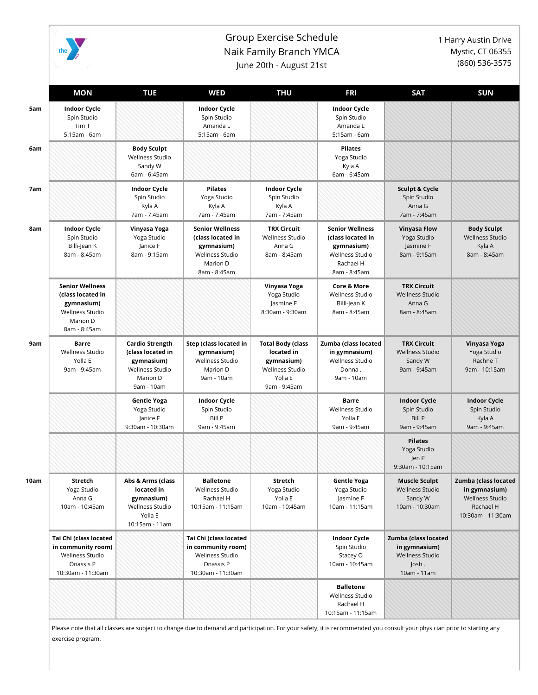

## Group Exercise Schedule Naik Family Branch YMCA June 20th - August 21st

1 Harry Austin Drive Mystic, CT 06355 (860) 536-3575

|     | <b>MON</b>                                                                                                      | <b>TUE</b>                                                                                             | WED                                                                                                      | <b>THU</b>                                                                                                | <b>FRI</b>                                                                                                | <b>SAT</b>                                                                              | <b>SUN</b>                                                                                 |
|-----|-----------------------------------------------------------------------------------------------------------------|--------------------------------------------------------------------------------------------------------|----------------------------------------------------------------------------------------------------------|-----------------------------------------------------------------------------------------------------------|-----------------------------------------------------------------------------------------------------------|-----------------------------------------------------------------------------------------|--------------------------------------------------------------------------------------------|
| 5am | <b>Indoor Cycle</b><br>Spin Studio<br>Tim T<br>5:15am - 6am                                                     |                                                                                                        | <b>Indoor Cycle</b><br>Spin Studio<br>Amanda L<br>5:15am - 6am                                           |                                                                                                           | <b>Indoor Cycle</b><br>Spin Studio<br>Amanda L<br>5:15am - 6am                                            |                                                                                         |                                                                                            |
|     |                                                                                                                 | <b>Body Sculpt</b><br>Wellness Studio<br>Sandy W<br>6am - 6:45am                                       |                                                                                                          |                                                                                                           | <b>Pilates</b><br>Yoga Studio<br>Kyla A<br>6am - 6:45am                                                   |                                                                                         |                                                                                            |
| 7am |                                                                                                                 | <b>Indoor Cycle</b><br>Spin Studio<br>Kyla A<br>7am - 7:45am                                           | <b>Pilates</b><br>Yoga Studio<br>Kyla A<br>7am - 7:45am                                                  | <b>Indoor Cycle</b><br>Spin Studio<br>Kyla A<br>7am - 7:45am                                              |                                                                                                           | <b>Sculpt &amp; Cycle</b><br>Spin Studio<br>Anna G<br>7am - 7:45am                      |                                                                                            |
| 8am | <b>Indoor Cycle</b><br>Spin Studio<br>Billi-Jean K<br>8am - 8:45am                                              | Vinyasa Yoga<br>Yoga Studio<br>Janice F<br>8am - 9:15am                                                | <b>Senior Wellness</b><br>(class located in<br>gymnasium)<br>Wellness Studio<br>Marion D<br>8am - 8:45am | <b>TRX Circuit</b><br><b>Wellness Studio</b><br>Anna G<br>8am - 8:45am                                    | <b>Senior Wellness</b><br>(class located in<br>gymnasium)<br>Wellness Studio<br>Rachael H<br>8am - 8:45am | <b>Vinyasa Flow</b><br>Yoga Studio<br>Jasmine F<br>8am - 9:15am                         | <b>Body Sculpt</b><br><b>Wellness Studio</b><br>Kyla A<br>8am - 8:45am                     |
|     | <b>Senior Wellness</b><br>(class located in<br>gymnasium)<br><b>Wellness Studio</b><br>Marion D<br>8am - 8:45am |                                                                                                        |                                                                                                          | Vinyasa Yoga<br>Yoga Studio<br>Jasmine F<br>8:30am - 9:30am                                               | <b>Core &amp; More</b><br>Wellness Studio<br>Billi-Jean K<br>8am - 8:45am                                 | <b>TRX Circuit</b><br><b>Wellness Studio</b><br>Anna G<br>8am - 8:45am                  |                                                                                            |
|     | <b>Barre</b><br><b>Wellness Studio</b><br>Yolla E<br>9am - 9:45am                                               | <b>Cardio Strength</b><br>(class located in<br>gymnasium)<br>Wellness Studio<br>Marion D<br>9am - 10am | Step (class located in<br>gymnasium)<br>Wellness Studio<br>Marion D<br>9am - 10am                        | <b>Total Body (class</b><br>located in<br>gymnasium)<br><b>Wellness Studio</b><br>Yolla E<br>9am - 9:45am | Zumba (class located<br>in gymnasium)<br>Wellness Studio<br>Donna.<br>9am - 10am                          | <b>TRX Circuit</b><br><b>Wellness Studio</b><br>Sandy W<br>9am - 9:45am                 | Vinyasa Yoga<br>Yoga Studio<br>Rachne T<br>9am - 10:15am                                   |
|     |                                                                                                                 | <b>Gentle Yoga</b><br>Yoga Studio<br>Janice F<br>9:30am - 10:30am                                      | <b>Indoor Cycle</b><br>Spin Studio<br>Bill P<br>9am - 9:45am                                             |                                                                                                           | Barre<br>Wellness Studio<br>Yolla E<br>9am - 9:45am                                                       | <b>Indoor Cycle</b><br>Spin Studio<br><b>Bill P</b><br>9am - 9:45am                     | <b>Indoor Cycle</b><br>Spin Studio<br>Kyla A<br>9am - 9:45am                               |
|     |                                                                                                                 |                                                                                                        |                                                                                                          |                                                                                                           |                                                                                                           | <b>Pilates</b><br>Yoga Studio<br>Jen P<br>9:30am - 10:15am                              |                                                                                            |
|     | Stretch<br>Yoga Studio<br>Anna G<br>10am - 10:45am                                                              | Abs & Arms (class<br>located in<br>gymnasium)<br>Wellness Studio<br>Yolla E<br>10:15am - 11am          | <b>Balletone</b><br>Wellness Studio<br>Rachael H<br>10:15am - 11:15am                                    | Stretch<br>Yoga Studio<br>Yolla E<br>10am - 10:45am                                                       | <b>Gentle Yoga</b><br>Yoga Studio<br>Jasmine F<br>10am - 11:15am                                          | <b>Muscle Sculpt</b><br><b>Wellness Studio</b><br>Sandy W<br>10am - 10:30am             | Zumba (class located<br>in gymnasium)<br>Wellness Studio<br>Rachael H<br>10:30am - 11:30am |
|     | Tai Chi (class located<br>in community room)<br>Wellness Studio<br>Onassis P<br>10:30am - 11:30am               |                                                                                                        | Tai Chi (class located<br>in community room)<br>Wellness Studio<br>Onassis P<br>10:30am - 11:30am        |                                                                                                           | <b>Indoor Cycle</b><br>Spin Studio<br>Stacey O<br>10am - 10:45am                                          | Zumba (class located<br>in gymnasium)<br><b>Wellness Studio</b><br>Josh.<br>10am - 11am |                                                                                            |
|     |                                                                                                                 |                                                                                                        |                                                                                                          |                                                                                                           | <b>Balletone</b><br>Wellness Studio<br>Rachael H<br>10:15am - 11:15am                                     |                                                                                         |                                                                                            |

Please note that all classes are subject to change due to demand and participation. For your safety, it is recommended you consult your physician prior to starting any exercise program.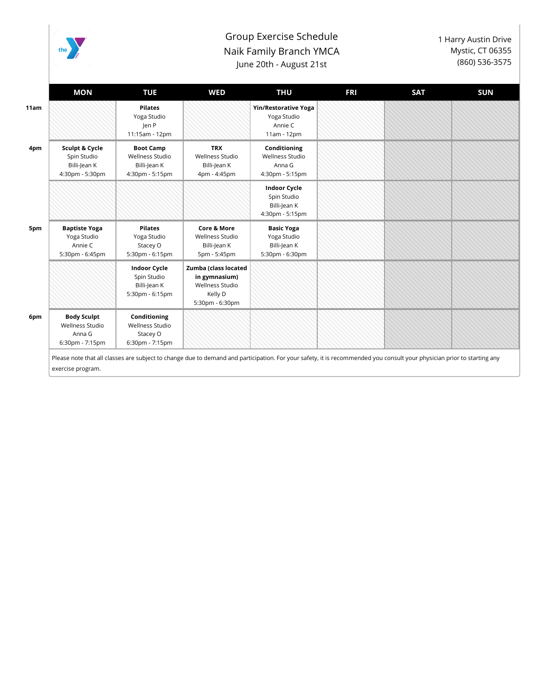

## Group Exercise Schedule Naik Family Branch YMCA June 20th - August 21st

1 Harry Austin Drive Mystic, CT 06355 (860) 536-3575

| Sculpt & Cycle<br>Spin Studio<br>Billi-Jean K<br>4:30pm - 5:30pm<br><b>Baptiste Yoga</b> | <b>Pilates</b><br>Yoga Studio<br>len P<br>11:15am - 12pm<br><b>Boot Camp</b><br>Wellness Studio<br>Billi-Jean K<br>4:30pm - 5:15pm<br><b>Pilates</b> | <b>TRX</b><br>Wellness Studio<br>Billi-Jean K<br>4pm - 4:45pm<br><b>Core &amp; More</b>       | <b>Yin/Restorative Yoga</b><br>Yoga Studio<br>Annie C<br>11am - 12pm<br>Conditioning<br>Wellness Studio<br>Anna G<br>4:30pm - 5:15pm<br><b>Indoor Cycle</b><br>Spin Studio<br>Billi-Jean K<br>4:30pm - 5:15pm |  |                                                                                                                                                                                              |
|------------------------------------------------------------------------------------------|------------------------------------------------------------------------------------------------------------------------------------------------------|-----------------------------------------------------------------------------------------------|---------------------------------------------------------------------------------------------------------------------------------------------------------------------------------------------------------------|--|----------------------------------------------------------------------------------------------------------------------------------------------------------------------------------------------|
|                                                                                          |                                                                                                                                                      |                                                                                               |                                                                                                                                                                                                               |  |                                                                                                                                                                                              |
|                                                                                          |                                                                                                                                                      |                                                                                               |                                                                                                                                                                                                               |  |                                                                                                                                                                                              |
|                                                                                          |                                                                                                                                                      |                                                                                               |                                                                                                                                                                                                               |  |                                                                                                                                                                                              |
| Yoga Studio<br>Annie C<br>5:30pm - 6:45pm                                                | Yoga Studio<br>Stacey O<br>5:30pm - 6:15pm                                                                                                           | <b>Wellness Studio</b><br>Billi-Jean K<br>5pm - 5:45pm                                        | <b>Basic Yoga</b><br>Yoga Studio<br>Billi-Jean K<br>5:30pm - 6:30pm                                                                                                                                           |  |                                                                                                                                                                                              |
|                                                                                          | <b>Indoor Cycle</b><br>Spin Studio<br>Billi-Jean K<br>5:30pm - 6:15pm                                                                                | Zumba (class located<br>in gymnasium)<br><b>Wellness Studio</b><br>Kelly D<br>5:30pm - 6:30pm |                                                                                                                                                                                                               |  |                                                                                                                                                                                              |
| <b>Body Sculpt</b><br>Wellness Studio<br>Anna G<br>6:30pm - 7:15pm                       | Conditioning<br>Wellness Studio<br>Stacey O<br>6:30pm - 7:15pm                                                                                       |                                                                                               |                                                                                                                                                                                                               |  |                                                                                                                                                                                              |
|                                                                                          |                                                                                                                                                      |                                                                                               |                                                                                                                                                                                                               |  | Please note that all classes are subject to change due to demand and participation. For your safety, it is recommended you consult your physician prior to starting any<br>exercise program. |